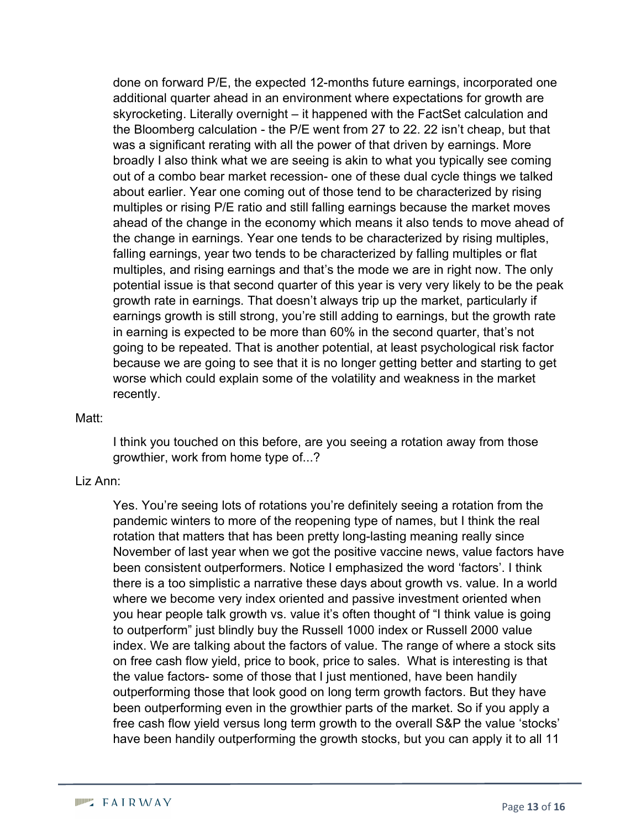done on forward P/E, the expected 12-months future earnings, incorporated one additional quarter ahead in an environment where expectations for growth are skyrocketing. Literally overnight – it happened with the FactSet calculation and the Bloomberg calculation - the P/E went from 27 to 22. 22 isn't cheap, but that was a significant rerating with all the power of that driven by earnings. More broadly I also think what we are seeing is akin to what you typically see coming out of a combo bear market recession- one of these dual cycle things we talked about earlier. Year one coming out of those tend to be characterized by rising multiples or rising P/E ratio and still falling earnings because the market moves ahead of the change in the economy which means it also tends to move ahead of the change in earnings. Year one tends to be characterized by rising multiples, falling earnings, year two tends to be characterized by falling multiples or flat multiples, and rising earnings and that's the mode we are in right now. The only potential issue is that second quarter of this year is very very likely to be the peak growth rate in earnings. That doesn't always trip up the market, particularly if earnings growth is still strong, you're still adding to earnings, but the growth rate in earning is expected to be more than 60% in the second quarter, that's not going to be repeated. That is another potential, at least psychological risk factor because we are going to see that it is no longer getting better and starting to get worse which could explain some of the volatility and weakness in the market recently.

#### Matt:

I think you touched on this before, are you seeing a rotation away from those growthier, work from home type of...?

#### Liz Ann:

Yes. You're seeing lots of rotations you're definitely seeing a rotation from the pandemic winters to more of the reopening type of names, but I think the real rotation that matters that has been pretty long-lasting meaning really since November of last year when we got the positive vaccine news, value factors have been consistent outperformers. Notice I emphasized the word 'factors'. I think there is a too simplistic a narrative these days about growth vs. value. In a world where we become very index oriented and passive investment oriented when you hear people talk growth vs. value it's often thought of "I think value is going to outperform" just blindly buy the Russell 1000 index or Russell 2000 value index. We are talking about the factors of value. The range of where a stock sits on free cash flow yield, price to book, price to sales. What is interesting is that the value factors- some of those that I just mentioned, have been handily outperforming those that look good on long term growth factors. But they have been outperforming even in the growthier parts of the market. So if you apply a free cash flow yield versus long term growth to the overall S&P the value 'stocks' have been handily outperforming the growth stocks, but you can apply it to all 11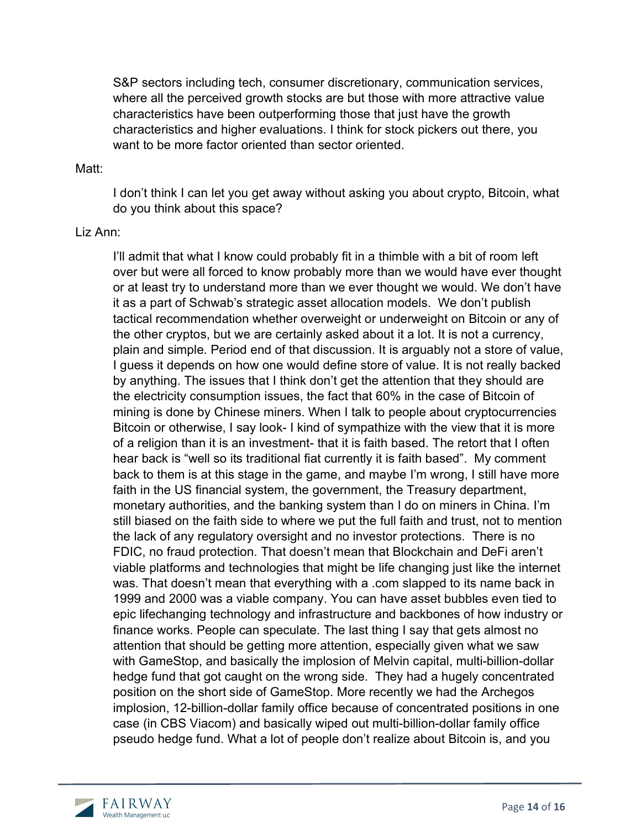S&P sectors including tech, consumer discretionary, communication services, where all the perceived growth stocks are but those with more attractive value characteristics have been outperforming those that just have the growth characteristics and higher evaluations. I think for stock pickers out there, you want to be more factor oriented than sector oriented.

#### Matt:

I don't think I can let you get away without asking you about crypto, Bitcoin, what do you think about this space?

## Liz Ann:

I'll admit that what I know could probably fit in a thimble with a bit of room left over but were all forced to know probably more than we would have ever thought or at least try to understand more than we ever thought we would. We don't have it as a part of Schwab's strategic asset allocation models. We don't publish tactical recommendation whether overweight or underweight on Bitcoin or any of the other cryptos, but we are certainly asked about it a lot. It is not a currency, plain and simple. Period end of that discussion. It is arguably not a store of value, I guess it depends on how one would define store of value. It is not really backed by anything. The issues that I think don't get the attention that they should are the electricity consumption issues, the fact that 60% in the case of Bitcoin of mining is done by Chinese miners. When I talk to people about cryptocurrencies Bitcoin or otherwise, I say look- I kind of sympathize with the view that it is more of a religion than it is an investment- that it is faith based. The retort that I often hear back is "well so its traditional fiat currently it is faith based". My comment back to them is at this stage in the game, and maybe I'm wrong, I still have more faith in the US financial system, the government, the Treasury department, monetary authorities, and the banking system than I do on miners in China. I'm still biased on the faith side to where we put the full faith and trust, not to mention the lack of any regulatory oversight and no investor protections. There is no FDIC, no fraud protection. That doesn't mean that Blockchain and DeFi aren't viable platforms and technologies that might be life changing just like the internet was. That doesn't mean that everything with a .com slapped to its name back in 1999 and 2000 was a viable company. You can have asset bubbles even tied to epic lifechanging technology and infrastructure and backbones of how industry or finance works. People can speculate. The last thing I say that gets almost no attention that should be getting more attention, especially given what we saw with GameStop, and basically the implosion of Melvin capital, multi-billion-dollar hedge fund that got caught on the wrong side. They had a hugely concentrated position on the short side of GameStop. More recently we had the Archegos implosion, 12-billion-dollar family office because of concentrated positions in one case (in CBS Viacom) and basically wiped out multi-billion-dollar family office pseudo hedge fund. What a lot of people don't realize about Bitcoin is, and you

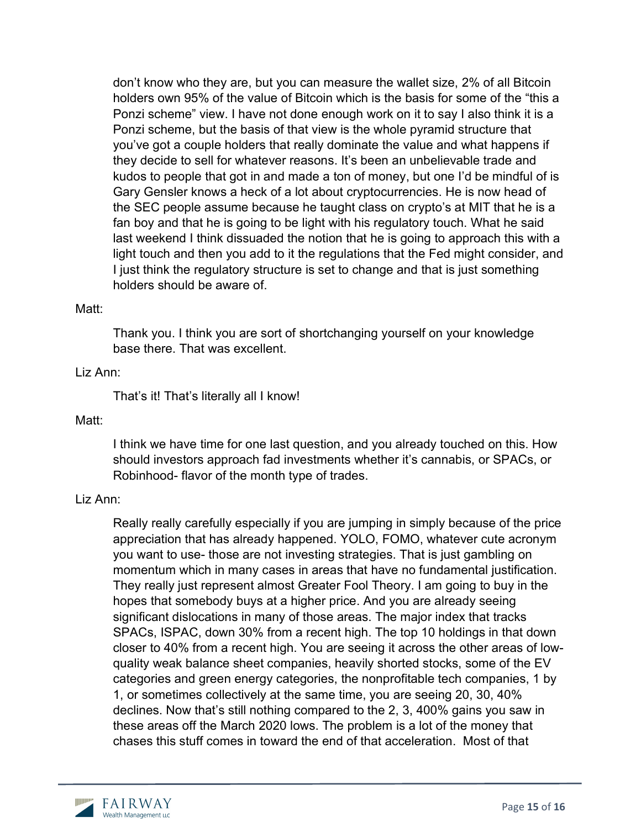don't know who they are, but you can measure the wallet size, 2% of all Bitcoin holders own 95% of the value of Bitcoin which is the basis for some of the "this a Ponzi scheme" view. I have not done enough work on it to say I also think it is a Ponzi scheme, but the basis of that view is the whole pyramid structure that you've got a couple holders that really dominate the value and what happens if they decide to sell for whatever reasons. It's been an unbelievable trade and kudos to people that got in and made a ton of money, but one I'd be mindful of is Gary Gensler knows a heck of a lot about cryptocurrencies. He is now head of the SEC people assume because he taught class on crypto's at MIT that he is a fan boy and that he is going to be light with his regulatory touch. What he said last weekend I think dissuaded the notion that he is going to approach this with a light touch and then you add to it the regulations that the Fed might consider, and I just think the regulatory structure is set to change and that is just something holders should be aware of.

## Matt:

Thank you. I think you are sort of shortchanging yourself on your knowledge base there. That was excellent.

# Liz Ann:

That's it! That's literally all I know!

### Matt:

I think we have time for one last question, and you already touched on this. How should investors approach fad investments whether it's cannabis, or SPACs, or Robinhood- flavor of the month type of trades.

#### Liz Ann:

Really really carefully especially if you are jumping in simply because of the price appreciation that has already happened. YOLO, FOMO, whatever cute acronym you want to use- those are not investing strategies. That is just gambling on momentum which in many cases in areas that have no fundamental justification. They really just represent almost Greater Fool Theory. I am going to buy in the hopes that somebody buys at a higher price. And you are already seeing significant dislocations in many of those areas. The major index that tracks SPACs, ISPAC, down 30% from a recent high. The top 10 holdings in that down closer to 40% from a recent high. You are seeing it across the other areas of lowquality weak balance sheet companies, heavily shorted stocks, some of the EV categories and green energy categories, the nonprofitable tech companies, 1 by 1, or sometimes collectively at the same time, you are seeing 20, 30, 40% declines. Now that's still nothing compared to the 2, 3, 400% gains you saw in these areas off the March 2020 lows. The problem is a lot of the money that chases this stuff comes in toward the end of that acceleration. Most of that